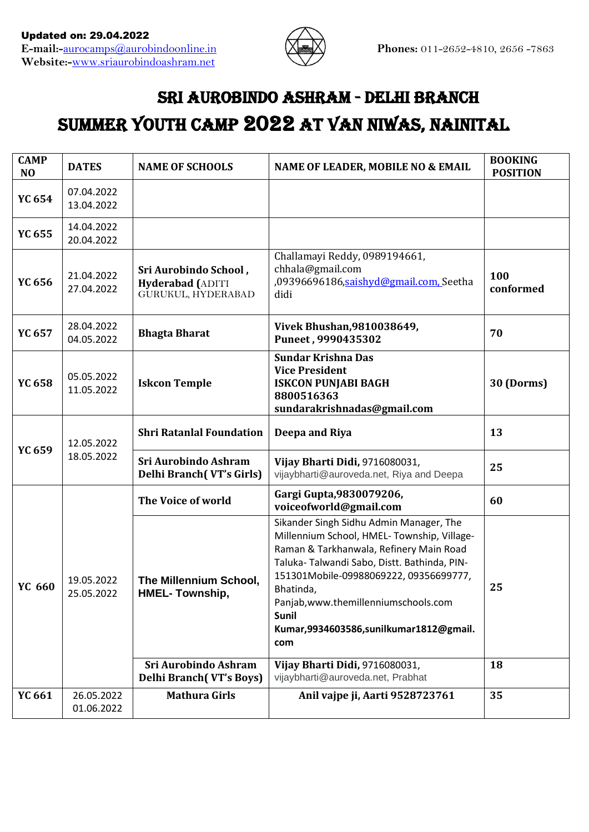

# Sri Aurobindo Ashram - Delhi Branch SUMMER YOUTH CAMP 2022 AT VAN NIWAS, NAINITAL

| <b>DATES</b>             | <b>NAME OF SCHOOLS</b>                                          | NAME OF LEADER, MOBILE NO & EMAIL                                                                                                                                                                                                                                                                                                          | <b>BOOKING</b><br><b>POSITION</b> |
|--------------------------|-----------------------------------------------------------------|--------------------------------------------------------------------------------------------------------------------------------------------------------------------------------------------------------------------------------------------------------------------------------------------------------------------------------------------|-----------------------------------|
| 07.04.2022<br>13.04.2022 |                                                                 |                                                                                                                                                                                                                                                                                                                                            |                                   |
| 14.04.2022<br>20.04.2022 |                                                                 |                                                                                                                                                                                                                                                                                                                                            |                                   |
| 21.04.2022<br>27.04.2022 | Sri Aurobindo School,<br>Hyderabad (ADITI<br>GURUKUL, HYDERABAD | Challamayi Reddy, 0989194661,<br>chhala@gmail.com<br>,09396696186,saishyd@gmail.com, Seetha<br>didi                                                                                                                                                                                                                                        | 100<br>conformed                  |
| 28.04.2022<br>04.05.2022 | <b>Bhagta Bharat</b>                                            | Vivek Bhushan, 9810038649,<br>Puneet, 9990435302                                                                                                                                                                                                                                                                                           | 70                                |
| 05.05.2022<br>11.05.2022 | <b>Iskcon Temple</b>                                            | <b>Sundar Krishna Das</b><br><b>Vice President</b><br><b>ISKCON PUNJABI BAGH</b><br>8800516363<br>sundarakrishnadas@gmail.com                                                                                                                                                                                                              | 30 (Dorms)                        |
| 12.05.2022               | <b>Shri Ratanlal Foundation</b>                                 | Deepa and Riya                                                                                                                                                                                                                                                                                                                             | 13                                |
| 18.05.2022               | Sri Aurobindo Ashram<br><b>Delhi Branch (VT's Girls)</b>        | Vijay Bharti Didi, 9716080031,<br>vijaybharti@auroveda.net, Riya and Deepa                                                                                                                                                                                                                                                                 | 25                                |
|                          | The Voice of world                                              | Gargi Gupta, 9830079206,<br>voiceofworld@gmail.com                                                                                                                                                                                                                                                                                         | 60                                |
| 19.05.2022<br>25.05.2022 | The Millennium School,<br><b>HMEL-Township,</b>                 | Sikander Singh Sidhu Admin Manager, The<br>Millennium School, HMEL- Township, Village-<br>Raman & Tarkhanwala, Refinery Main Road<br>Taluka- Talwandi Sabo, Distt. Bathinda, PIN-<br>151301Mobile-09988069222, 09356699777,<br>Bhatinda,<br>Panjab, www.themillenniumschools.com<br>Sunil<br>Kumar,9934603586,sunilkumar1812@gmail.<br>com | 25                                |
|                          | <b>Delhi Branch (VT's Boys)</b>                                 | vijaybharti@auroveda.net, Prabhat                                                                                                                                                                                                                                                                                                          | 18                                |
| 26.05.2022<br>01.06.2022 |                                                                 | Anil vajpe ji, Aarti 9528723761                                                                                                                                                                                                                                                                                                            | 35                                |
|                          |                                                                 | Sri Aurobindo Ashram<br><b>Mathura Girls</b>                                                                                                                                                                                                                                                                                               | Vijay Bharti Didi, 9716080031,    |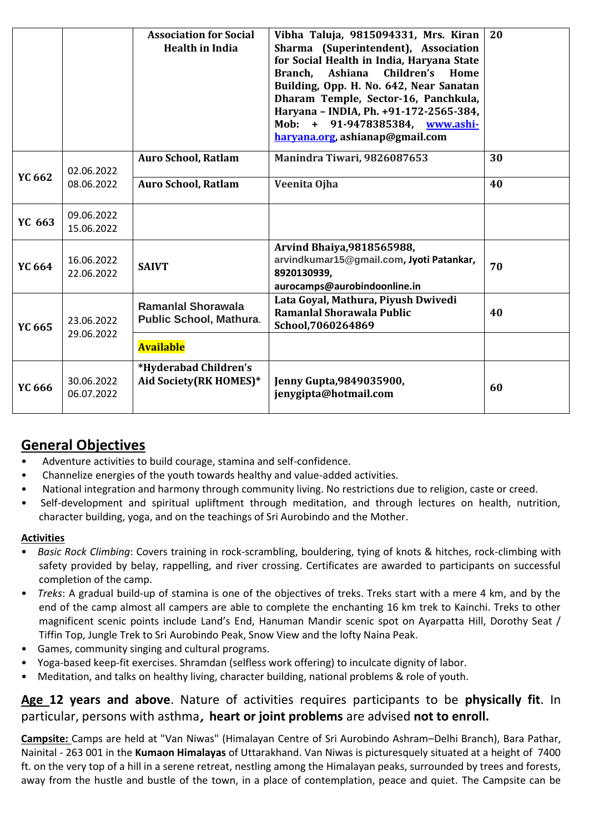|               |                          | <b>Association for Social</b><br><b>Health in India</b>     | Vibha Taluja, 9815094331, Mrs. Kiran<br>Sharma (Superintendent), Association<br>for Social Health in India, Haryana State<br>Ashiana<br>Children's<br>Branch,<br>Home<br>Building, Opp. H. No. 642, Near Sanatan<br>Dharam Temple, Sector-16, Panchkula,<br>Haryana - INDIA, Ph. +91-172-2565-384,<br>Mob: + 91-9478385384, www.ashi-<br>harvana.org, ashianap@gmail.com | 20 |
|---------------|--------------------------|-------------------------------------------------------------|--------------------------------------------------------------------------------------------------------------------------------------------------------------------------------------------------------------------------------------------------------------------------------------------------------------------------------------------------------------------------|----|
| YC 662        | 02.06.2022<br>08.06.2022 | <b>Auro School, Ratlam</b>                                  | Manindra Tiwari, 9826087653                                                                                                                                                                                                                                                                                                                                              | 30 |
|               |                          | <b>Auro School, Ratlam</b>                                  | Veenita Ojha                                                                                                                                                                                                                                                                                                                                                             | 40 |
| YC 663        | 09.06.2022<br>15.06.2022 |                                                             |                                                                                                                                                                                                                                                                                                                                                                          |    |
| YC 664        | 16.06.2022<br>22.06.2022 | <b>SAIVT</b>                                                | Arvind Bhaiya, 9818565988,<br>arvindkumar15@gmail.com, Jyoti Patankar,<br>8920130939,<br>aurocamps@aurobindoonline.in                                                                                                                                                                                                                                                    | 70 |
| YC 665        | 23.06.2022<br>29.06.2022 | <b>Ramanial Shorawala</b><br><b>Public School, Mathura.</b> | Lata Goyal, Mathura, Piyush Dwivedi<br>Ramanlal Shorawala Public<br>School, 7060264869                                                                                                                                                                                                                                                                                   | 40 |
|               |                          | <b>Available</b>                                            |                                                                                                                                                                                                                                                                                                                                                                          |    |
| <b>YC 666</b> | 30.06.2022<br>06.07.2022 | *Hyderabad Children's<br>Aid Society(RK HOMES)*             | Jenny Gupta, 9849035900,<br>jenygipta@hotmail.com                                                                                                                                                                                                                                                                                                                        | 60 |

## **General Objectives**

- Adventure activities to build courage, stamina and self-confidence.
- Channelize energies of the youth towards healthy and value-added activities.
- National integration and harmony through community living. No restrictions due to religion, caste or creed.
- Self-development and spiritual upliftment through meditation, and through lectures on health, nutrition, character building, yoga, and on the teachings of Sri Aurobindo and the Mother.

#### **Activities**

- *Basic Rock Climbing*: Covers training in rock-scrambling, bouldering, tying of knots & hitches, rock-climbing with safety provided by belay, rappelling, and river crossing. Certificates are awarded to participants on successful completion of the camp.
- *Treks*: A gradual build-up of stamina is one of the objectives of treks. Treks start with a mere 4 km, and by the end of the camp almost all campers are able to complete the enchanting 16 km trek to Kainchi. Treks to other magnificent scenic points include Land's End, Hanuman Mandir scenic spot on Ayarpatta Hill, Dorothy Seat / Tiffin Top, Jungle Trek to Sri Aurobindo Peak, Snow View and the lofty Naina Peak.
- Games, community singing and cultural programs.
- Yoga-based keep-fit exercises. Shramdan (selfless work offering) to inculcate dignity of labor.
- Meditation, and talks on healthy living, character building, national problems & role of youth.

### **Age 12 years and above**. Nature of activities requires participants to be **physically fit**. In particular, persons with asthma, **heart or joint problems** are advised **not to enroll.**

**Campsite:** Camps are held at "Van Niwas" (Himalayan Centre of Sri Aurobindo Ashram–Delhi Branch), Bara Pathar, Nainital - 263 001 in the **Kumaon Himalayas** of Uttarakhand. Van Niwas is picturesquely situated at a height of 7400 ft. on the very top of a hill in a serene retreat, nestling among the Himalayan peaks, surrounded by trees and forests, away from the hustle and bustle of the town, in a place of contemplation, peace and quiet. The Campsite can be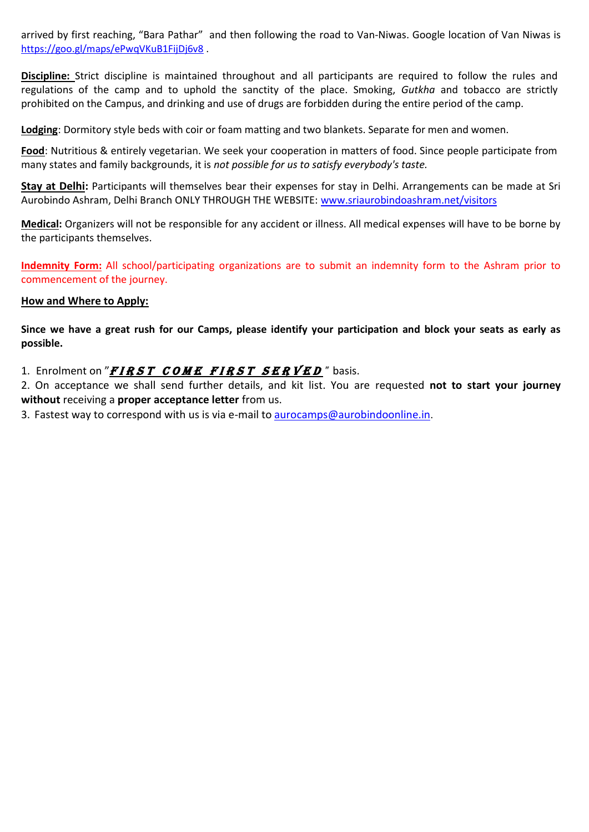arrived by first reaching, "Bara Pathar" and then following the road to Van-Niwas. Google location of Van Niwas is <https://goo.gl/maps/ePwqVKuB1FijDj6v8> .

**Discipline:** Strict discipline is maintained throughout and all participants are required to follow the rules and regulations of the camp and to uphold the sanctity of the place. Smoking, *Gutkha* and tobacco are strictly prohibited on the Campus, and drinking and use of drugs are forbidden during the entire period of the camp.

**Lodging**: Dormitory style beds with coir or foam matting and two blankets. Separate for men and women.

**Food**: Nutritious & entirely vegetarian. We seek your cooperation in matters of food. Since people participate from many states and family backgrounds, it is *not possible for us to satisfy everybody's taste.*

**Stay at Delhi:** Participants will themselves bear their expenses for stay in Delhi. Arrangements can be made at Sri Aurobindo Ashram, Delhi Branch ONLY THROUGH THE WEBSITE: [www.sriaurobindoashram.net/visitors](http://www.rediffmail.com/cgi-bin/red.cgi?red=http%3A%2F%2Fwww%2Esriaurobindoashram%2Enet%2Fvisitors&isImage=0&BlockImage=0&rediffng=0)

**Medical:** Organizers will not be responsible for any accident or illness. All medical expenses will have to be borne by the participants themselves.

**Indemnity Form:** All school/participating organizations are to submit an indemnity form to the Ashram prior to commencement of the journey.

#### **How and Where to Apply:**

**Since we have a great rush for our Camps, please identify your participation and block your seats as early as possible.** 

1. Enrolment on "*FIRST COME FIRST SERVED*" basis.

2. On acceptance we shall send further details, and kit list. You are requested **not to start your journey without** receiving a **proper acceptance letter** from us.

3. Fastest way to correspond with us is via e-mail to [aurocamps@aurobindoonline.in](mailto:aurocamps@aurobindoonline.in).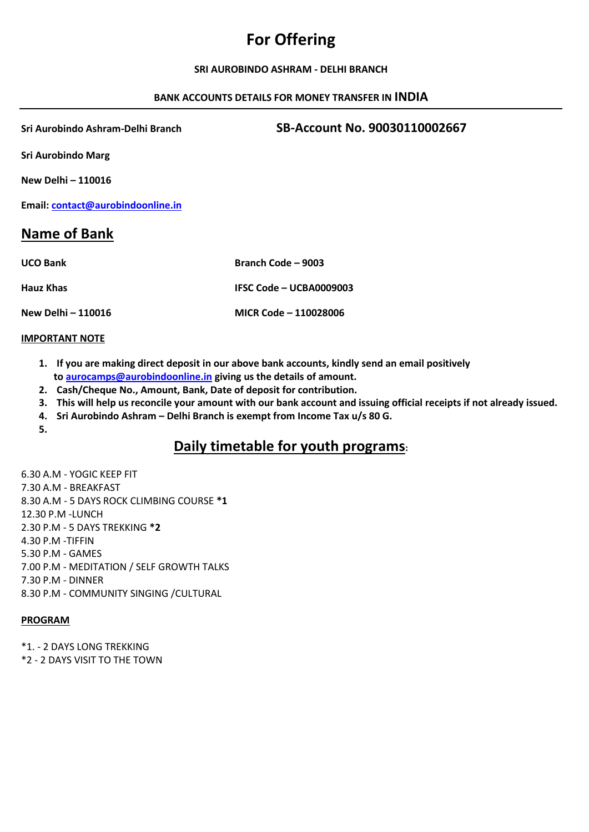## **For Offering**

#### **SRI AUROBINDO ASHRAM - DELHI BRANCH**

#### **BANK ACCOUNTS DETAILS FOR MONEY TRANSFER IN INDIA**

**Sri Aurobindo Ashram-Delhi Branch SB-Account No. 90030110002667**

**Sri Aurobindo Marg**

**New Delhi – 110016**

**Email: [contact@aurobindoonline.in](mailto:contact@aurobindoonline.in)**

## **Name of Bank**

| <b>UCO Bank</b>    | Branch Code – 9003      |
|--------------------|-------------------------|
| Hauz Khas          | IFSC Code - UCBA0009003 |
| New Delhi - 110016 | MICR Code - 110028006   |

#### **IMPORTANT NOTE**

- **1. If you are making direct deposit in our above bank accounts, kindly send an email positively t[o aurocamps@aurobindoonline.in](mailto:aurocamps@aurobindoonline.in) giving us the details of amount.**
- **2. Cash/Cheque No., Amount, Bank, Date of deposit for contribution.**
- **3. This will help us reconcile your amount with our bank account and issuing official receipts if not already issued.**
- **4. Sri Aurobindo Ashram – Delhi Branch is exempt from Income Tax u/s 80 G.**

**5.**

## **Daily timetable for youth programs:**

6.30 A.M - YOGIC KEEP FIT 7.30 A.M - BREAKFAST 8.30 A.M - 5 DAYS ROCK CLIMBING COURSE **\*1** 12.30 P.M -LUNCH 2.30 P.M - 5 DAYS TREKKING **\*2** 4.30 P.M -TIFFIN 5.30 P.M - GAMES 7.00 P.M - MEDITATION / SELF GROWTH TALKS 7.30 P.M - DINNER 8.30 P.M - COMMUNITY SINGING /CULTURAL

#### **PROGRAM**

\*1. - 2 DAYS LONG TREKKING

\*2 - 2 DAYS VISIT TO THE TOWN